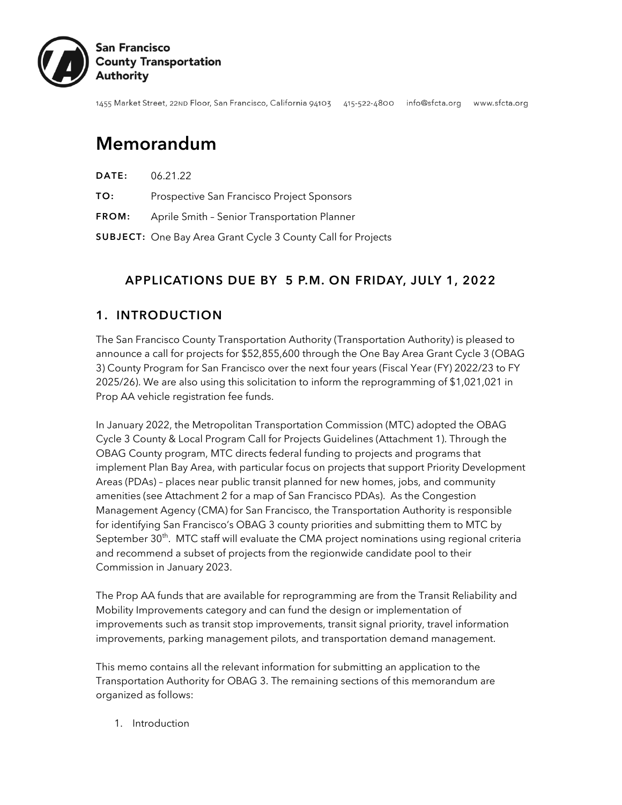

1455 Market Street, 22ND Floor, San Francisco, California 94103 415-522-4800 info@sfcta.org www.sfcta.org

# Memorandum

| DATE: | 06.21.22 |
|-------|----------|
|       |          |

- TO: Prospective San Francisco Project Sponsors
- FROM: Aprile Smith Senior Transportation Planner

SUBJECT: One Bay Area Grant Cycle 3 County Call for Projects

#### APPLICATIONS DUE BY 5 P.M. ON FRIDAY, JULY 1, 2022

#### 1. INTRODUCTION

The San Francisco County Transportation Authority (Transportation Authority) is pleased to announce a call for projects for \$52,855,600 through the One Bay Area Grant Cycle 3 (OBAG 3) County Program for San Francisco over the next four years (Fiscal Year (FY) 2022/23 to FY 2025/26). We are also using this solicitation to inform the reprogramming of \$1,021,021 in Prop AA vehicle registration fee funds.

In January 2022, the Metropolitan Transportation Commission (MTC) adopted the OBAG Cycle 3 County & Local Program Call for Projects Guidelines (Attachment 1). Through the OBAG County program, MTC directs federal funding to projects and programs that implement Plan Bay Area, with particular focus on projects that support Priority Development Areas (PDAs) – places near public transit planned for new homes, jobs, and community amenities (see Attachment 2 for a map of San Francisco PDAs). As the Congestion Management Agency (CMA) for San Francisco, the Transportation Authority is responsible for identifying San Francisco's OBAG 3 county priorities and submitting them to MTC by September 30 $^{\rm th}$ . MTC staff will evaluate the CMA project nominations using regional criteria and recommend a subset of projects from the regionwide candidate pool to their Commission in January 2023.

The Prop AA funds that are available for reprogramming are from the Transit Reliability and Mobility Improvements category and can fund the design or implementation of improvements such as transit stop improvements, transit signal priority, travel information improvements, parking management pilots, and transportation demand management.

This memo contains all the relevant information for submitting an application to the Transportation Authority for OBAG 3. The remaining sections of this memorandum are organized as follows:

1. Introduction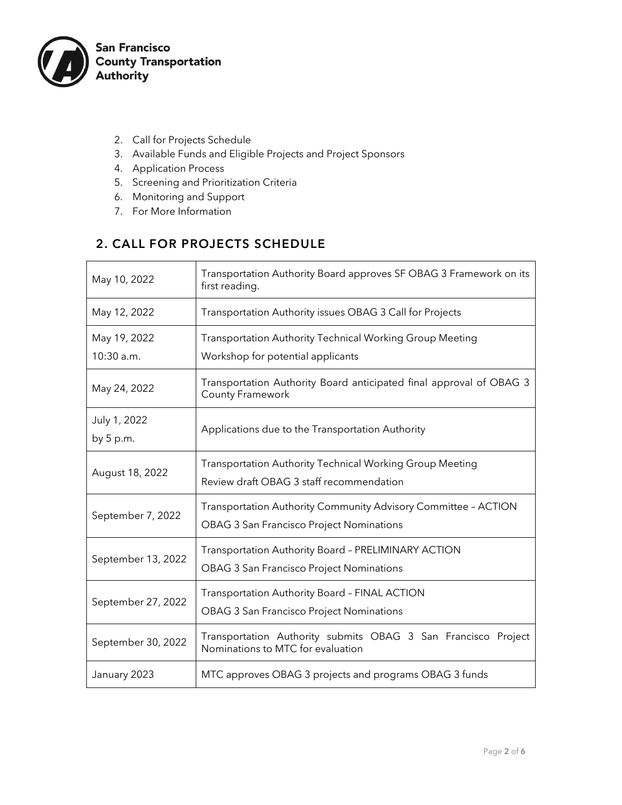

- 2. Call for Projects Schedule
- 3. Available Funds and Eligible Projects and Project Sponsors
- 4. Application Process
- 5. Screening and Prioritization Criteria
- 6. Monitoring and Support
- 7. For More Information

## 2. CALL FOR PROJECTS SCHEDULE

| May 10, 2022                 | Transportation Authority Board approves SF OBAG 3 Framework on its<br>first reading.                              |  |  |  |
|------------------------------|-------------------------------------------------------------------------------------------------------------------|--|--|--|
| May 12, 2022                 | Transportation Authority issues OBAG 3 Call for Projects                                                          |  |  |  |
| May 19, 2022<br>$10:30$ a.m. | Transportation Authority Technical Working Group Meeting<br>Workshop for potential applicants                     |  |  |  |
| May 24, 2022                 | Transportation Authority Board anticipated final approval of OBAG 3<br>County Framework                           |  |  |  |
| July 1, 2022<br>by 5 p.m.    | Applications due to the Transportation Authority                                                                  |  |  |  |
| August 18, 2022              | Transportation Authority Technical Working Group Meeting<br>Review draft OBAG 3 staff recommendation              |  |  |  |
| September 7, 2022            | Transportation Authority Community Advisory Committee - ACTION<br><b>OBAG 3 San Francisco Project Nominations</b> |  |  |  |
| September 13, 2022           | Transportation Authority Board - PRELIMINARY ACTION<br><b>OBAG 3 San Francisco Project Nominations</b>            |  |  |  |
| September 27, 2022           | Transportation Authority Board - FINAL ACTION<br><b>OBAG 3 San Francisco Project Nominations</b>                  |  |  |  |
| September 30, 2022           | Transportation Authority submits OBAG 3 San Francisco Project<br>Nominations to MTC for evaluation                |  |  |  |
| January 2023                 | MTC approves OBAG 3 projects and programs OBAG 3 funds                                                            |  |  |  |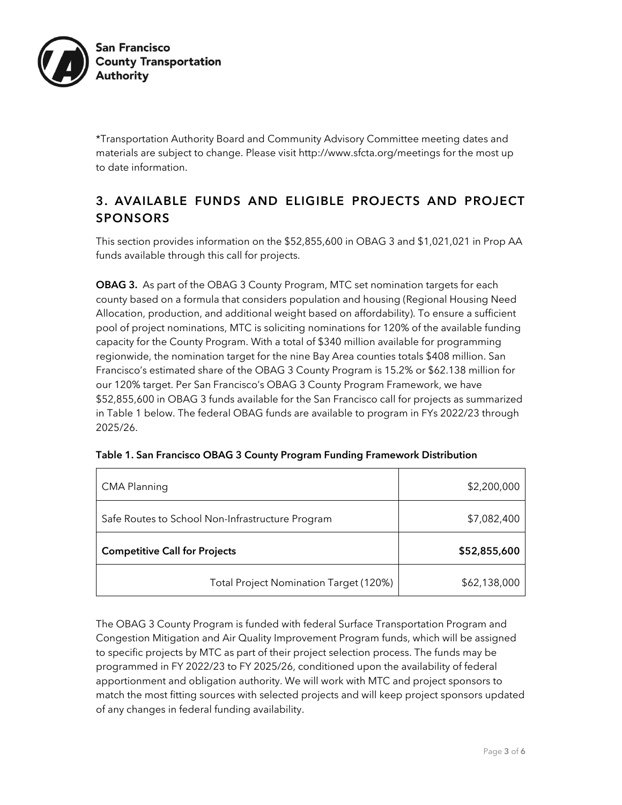

\*Transportation Authority Board and Community Advisory Committee meeting dates and materials are subject to change. Please visit http://www.sfcta.org/meetings for the most up to date information.

### 3. AVAILABLE FUNDS AND ELIGIBLE PROJECTS AND PROJECT SPONSORS

This section provides information on the \$52,855,600 in OBAG 3 and \$1,021,021 in Prop AA funds available through this call for projects.

OBAG 3. As part of the OBAG 3 County Program, MTC set nomination targets for each county based on a formula that considers population and housing (Regional Housing Need Allocation, production, and additional weight based on affordability). To ensure a sufficient pool of project nominations, MTC is soliciting nominations for 120% of the available funding capacity for the County Program. With a total of \$340 million available for programming regionwide, the nomination target for the nine Bay Area counties totals \$408 million. San Francisco's estimated share of the OBAG 3 County Program is 15.2% or \$62.138 million for our 120% target. Per San Francisco's OBAG 3 County Program Framework, we have \$52,855,600 in OBAG 3 funds available for the San Francisco call for projects as summarized in Table 1 below. The federal OBAG funds are available to program in FYs 2022/23 through 2025/26.

| <b>CMA Planning</b>                              | \$2,200,000  |
|--------------------------------------------------|--------------|
| Safe Routes to School Non-Infrastructure Program | \$7,082,400  |
| <b>Competitive Call for Projects</b>             | \$52,855,600 |
| Total Project Nomination Target (120%)           | \$62,138,000 |

| Table 1. San Francisco OBAG 3 County Program Funding Framework Distribution |  |  |
|-----------------------------------------------------------------------------|--|--|
|                                                                             |  |  |

The OBAG 3 County Program is funded with federal Surface Transportation Program and Congestion Mitigation and Air Quality Improvement Program funds, which will be assigned to specific projects by MTC as part of their project selection process. The funds may be programmed in FY 2022/23 to FY 2025/26, conditioned upon the availability of federal apportionment and obligation authority. We will work with MTC and project sponsors to match the most fitting sources with selected projects and will keep project sponsors updated of any changes in federal funding availability.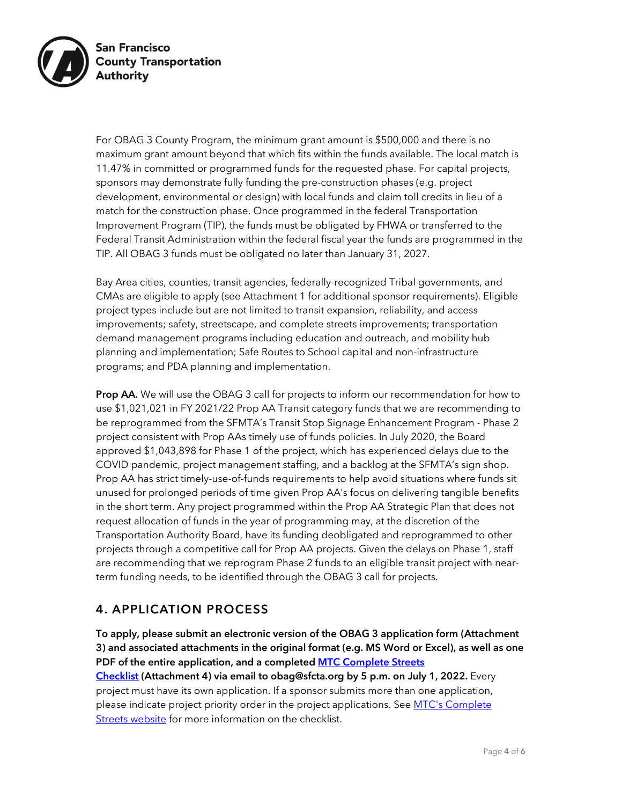

For OBAG 3 County Program, the minimum grant amount is \$500,000 and there is no maximum grant amount beyond that which fits within the funds available. The local match is 11.47% in committed or programmed funds for the requested phase. For capital projects, sponsors may demonstrate fully funding the pre-construction phases (e.g. project development, environmental or design) with local funds and claim toll credits in lieu of a match for the construction phase. Once programmed in the federal Transportation Improvement Program (TIP), the funds must be obligated by FHWA or transferred to the Federal Transit Administration within the federal fiscal year the funds are programmed in the TIP. All OBAG 3 funds must be obligated no later than January 31, 2027.

Bay Area cities, counties, transit agencies, federally-recognized Tribal governments, and CMAs are eligible to apply (see Attachment 1 for additional sponsor requirements). Eligible project types include but are not limited to transit expansion, reliability, and access improvements; safety, streetscape, and complete streets improvements; transportation demand management programs including education and outreach, and mobility hub planning and implementation; Safe Routes to School capital and non-infrastructure programs; and PDA planning and implementation.

**Prop AA.** We will use the OBAG 3 call for projects to inform our recommendation for how to use \$1,021,021 in FY 2021/22 Prop AA Transit category funds that we are recommending to be reprogrammed from the SFMTA's Transit Stop Signage Enhancement Program - Phase 2 project consistent with Prop AAs timely use of funds policies. In July 2020, the Board approved \$1,043,898 for Phase 1 of the project, which has experienced delays due to the COVID pandemic, project management staffing, and a backlog at the SFMTA's sign shop. Prop AA has strict timely-use-of-funds requirements to help avoid situations where funds sit unused for prolonged periods of time given Prop AA's focus on delivering tangible benefits in the short term. Any project programmed within the Prop AA Strategic Plan that does not request allocation of funds in the year of programming may, at the discretion of the Transportation Authority Board, have its funding deobligated and reprogrammed to other projects through a competitive call for Prop AA projects. Given the delays on Phase 1, staff are recommending that we reprogram Phase 2 funds to an eligible transit project with nearterm funding needs, to be identified through the OBAG 3 call for projects.

#### 4. APPLICATION PROCESS

To apply, please submit an electronic version of the OBAG 3 application form (Attachment 3) and associated attachments in the original format (e.g. MS Word or Excel), as well as one PDF of the entire application, and a completed **MTC Complete Streets** [Checklist](https://mtc.ca.gov/sites/default/files/documents/2022-05/Complete-Streets-Checklist-05-12-2022.pdf) (Attachment 4) via email to obag@sfcta.org by 5 p.m. on July 1, 2022. Every project must have its own application. If a sponsor submits more than one application, please indicate project priority order in the project applications. See MTC's Complete [Streets website](https://mtc.ca.gov/planning/transportation/complete-streets) for more information on the checklist.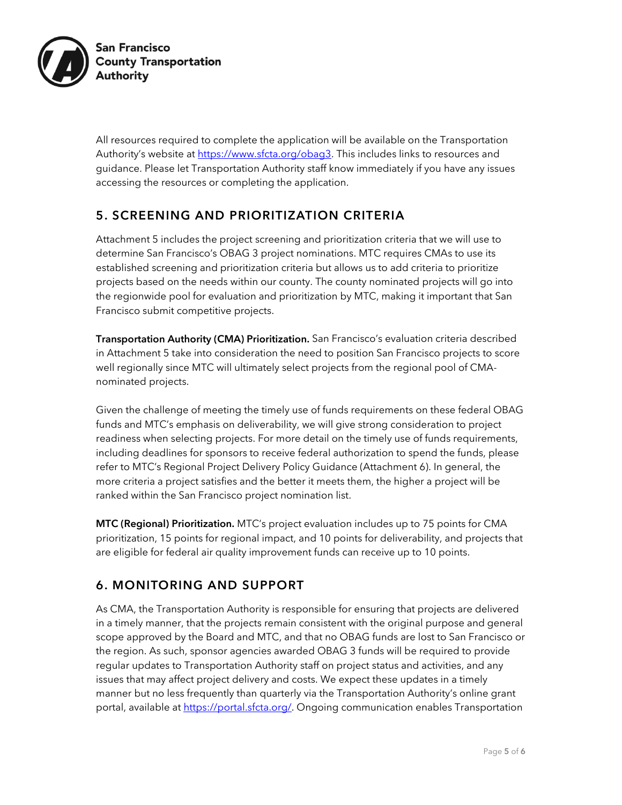

All resources required to complete the application will be available on the Transportation Authority's website at [https://www.sfcta.org/obag3.](https://www.sfcta.org/obag3) This includes links to resources and guidance. Please let Transportation Authority staff know immediately if you have any issues accessing the resources or completing the application.

#### 5. SCREENING AND PRIORITIZATION CRITERIA

Attachment 5 includes the project screening and prioritization criteria that we will use to determine San Francisco's OBAG 3 project nominations. MTC requires CMAs to use its established screening and prioritization criteria but allows us to add criteria to prioritize projects based on the needs within our county. The county nominated projects will go into the regionwide pool for evaluation and prioritization by MTC, making it important that San Francisco submit competitive projects.

Transportation Authority (CMA) Prioritization. San Francisco's evaluation criteria described in Attachment 5 take into consideration the need to position San Francisco projects to score well regionally since MTC will ultimately select projects from the regional pool of CMAnominated projects.

Given the challenge of meeting the timely use of funds requirements on these federal OBAG funds and MTC's emphasis on deliverability, we will give strong consideration to project readiness when selecting projects. For more detail on the timely use of funds requirements, including deadlines for sponsors to receive federal authorization to spend the funds, please refer to MTC's Regional Project Delivery Policy Guidance (Attachment 6). In general, the more criteria a project satisfies and the better it meets them, the higher a project will be ranked within the San Francisco project nomination list.

MTC (Regional) Prioritization. MTC's project evaluation includes up to 75 points for CMA prioritization, 15 points for regional impact, and 10 points for deliverability, and projects that are eligible for federal air quality improvement funds can receive up to 10 points.

#### 6. MONITORING AND SUPPORT

As CMA, the Transportation Authority is responsible for ensuring that projects are delivered in a timely manner, that the projects remain consistent with the original purpose and general scope approved by the Board and MTC, and that no OBAG funds are lost to San Francisco or the region. As such, sponsor agencies awarded OBAG 3 funds will be required to provide regular updates to Transportation Authority staff on project status and activities, and any issues that may affect project delivery and costs. We expect these updates in a timely manner but no less frequently than quarterly via the Transportation Authority's online grant portal, available a[t https://portal.sfcta.org/.](https://portal.sfcta.org/) Ongoing communication enables Transportation